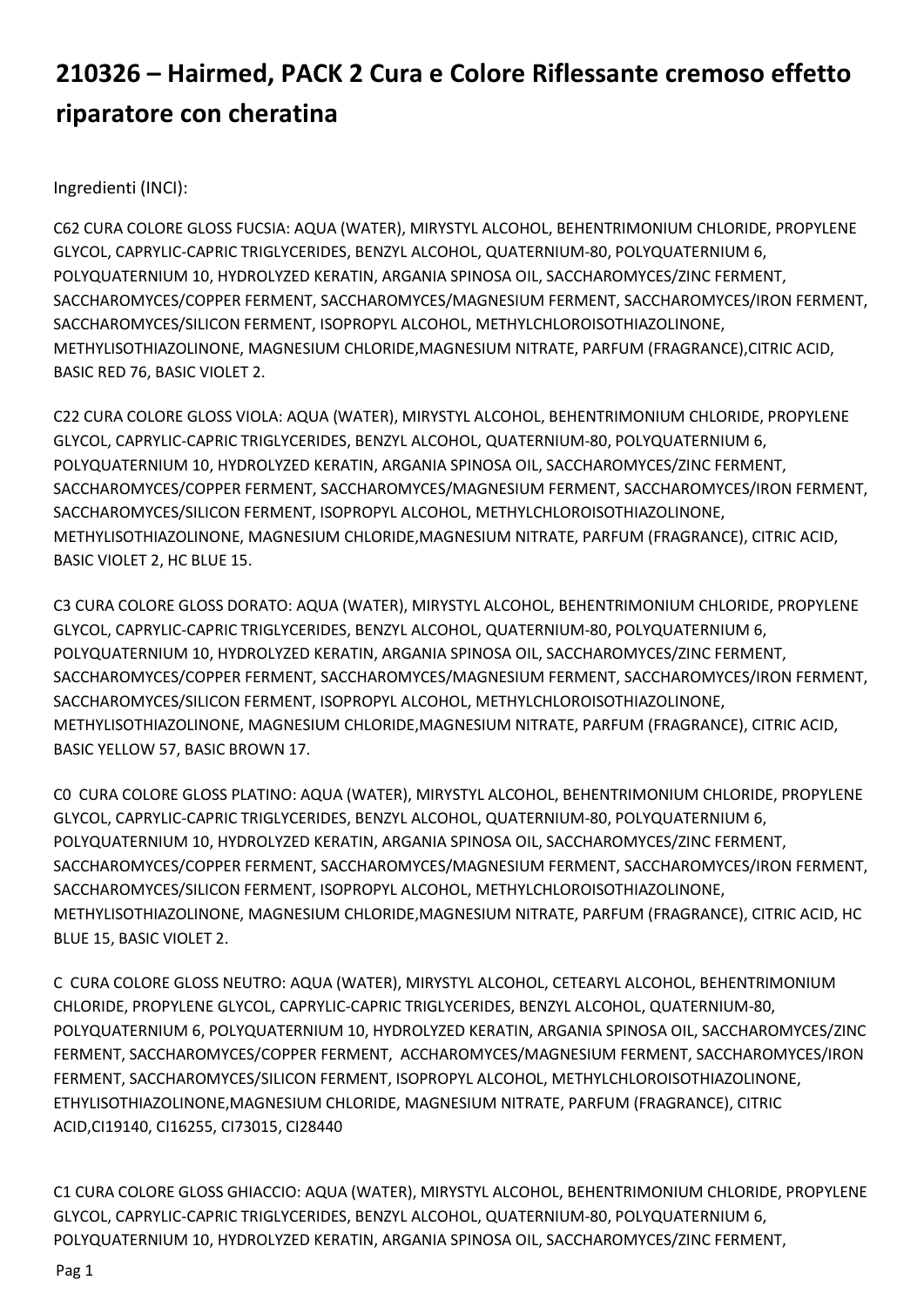## 210326 – Hairmed, PACK 2 Cura e Colore Riflessante cremoso effetto riparatore con cheratina

Ingredienti (INCI):

C62 CURA COLORE GLOSS FUCSIA: AQUA (WATER), MIRYSTYL ALCOHOL, BEHENTRIMONIUM CHLORIDE, PROPYLENE GLYCOL, CAPRYLIC-CAPRIC TRIGLYCERIDES, BENZYL ALCOHOL, QUATERNIUM-80, POLYQUATERNIUM 6, POLYQUATERNIUM 10, HYDROLYZED KERATIN, ARGANIA SPINOSA OIL, SACCHAROMYCES/ZINC FERMENT, SACCHAROMYCES/COPPER FERMENT, SACCHAROMYCES/MAGNESIUM FERMENT, SACCHAROMYCES/IRON FERMENT, SACCHAROMYCES/SILICON FERMENT, ISOPROPYL ALCOHOL, METHYLCHLOROISOTHIAZOLINONE, METHYLISOTHIAZOLINONE, MAGNESIUM CHLORIDE,MAGNESIUM NITRATE, PARFUM (FRAGRANCE),CITRIC ACID, BASIC RED 76, BASIC VIOLET 2.

C22 CURA COLORE GLOSS VIOLA: AQUA (WATER), MIRYSTYL ALCOHOL, BEHENTRIMONIUM CHLORIDE, PROPYLENE GLYCOL, CAPRYLIC-CAPRIC TRIGLYCERIDES, BENZYL ALCOHOL, QUATERNIUM-80, POLYQUATERNIUM 6, POLYQUATERNIUM 10, HYDROLYZED KERATIN, ARGANIA SPINOSA OIL, SACCHAROMYCES/ZINC FERMENT, SACCHAROMYCES/COPPER FERMENT, SACCHAROMYCES/MAGNESIUM FERMENT, SACCHAROMYCES/IRON FERMENT, SACCHAROMYCES/SILICON FERMENT, ISOPROPYL ALCOHOL, METHYLCHLOROISOTHIAZOLINONE, METHYLISOTHIAZOLINONE, MAGNESIUM CHLORIDE,MAGNESIUM NITRATE, PARFUM (FRAGRANCE), CITRIC ACID, BASIC VIOLET 2, HC BLUE 15.

C3 CURA COLORE GLOSS DORATO: AQUA (WATER), MIRYSTYL ALCOHOL, BEHENTRIMONIUM CHLORIDE, PROPYLENE GLYCOL, CAPRYLIC-CAPRIC TRIGLYCERIDES, BENZYL ALCOHOL, QUATERNIUM-80, POLYQUATERNIUM 6, POLYQUATERNIUM 10, HYDROLYZED KERATIN, ARGANIA SPINOSA OIL, SACCHAROMYCES/ZINC FERMENT, SACCHAROMYCES/COPPER FERMENT, SACCHAROMYCES/MAGNESIUM FERMENT, SACCHAROMYCES/IRON FERMENT, SACCHAROMYCES/SILICON FERMENT, ISOPROPYL ALCOHOL, METHYLCHLOROISOTHIAZOLINONE, METHYLISOTHIAZOLINONE, MAGNESIUM CHLORIDE,MAGNESIUM NITRATE, PARFUM (FRAGRANCE), CITRIC ACID, BASIC YELLOW 57, BASIC BROWN 17.

C0 CURA COLORE GLOSS PLATINO: AQUA (WATER), MIRYSTYL ALCOHOL, BEHENTRIMONIUM CHLORIDE, PROPYLENE GLYCOL, CAPRYLIC-CAPRIC TRIGLYCERIDES, BENZYL ALCOHOL, QUATERNIUM-80, POLYQUATERNIUM 6, POLYQUATERNIUM 10, HYDROLYZED KERATIN, ARGANIA SPINOSA OIL, SACCHAROMYCES/ZINC FERMENT, SACCHAROMYCES/COPPER FERMENT, SACCHAROMYCES/MAGNESIUM FERMENT, SACCHAROMYCES/IRON FERMENT, SACCHAROMYCES/SILICON FERMENT, ISOPROPYL ALCOHOL, METHYLCHLOROISOTHIAZOLINONE, METHYLISOTHIAZOLINONE, MAGNESIUM CHLORIDE,MAGNESIUM NITRATE, PARFUM (FRAGRANCE), CITRIC ACID, HC BLUE 15, BASIC VIOLET 2.

C CURA COLORE GLOSS NEUTRO: AQUA (WATER), MIRYSTYL ALCOHOL, CETEARYL ALCOHOL, BEHENTRIMONIUM CHLORIDE, PROPYLENE GLYCOL, CAPRYLIC-CAPRIC TRIGLYCERIDES, BENZYL ALCOHOL, QUATERNIUM-80, POLYQUATERNIUM 6, POLYQUATERNIUM 10, HYDROLYZED KERATIN, ARGANIA SPINOSA OIL, SACCHAROMYCES/ZINC FERMENT, SACCHAROMYCES/COPPER FERMENT, ACCHAROMYCES/MAGNESIUM FERMENT, SACCHAROMYCES/IRON FERMENT, SACCHAROMYCES/SILICON FERMENT, ISOPROPYL ALCOHOL, METHYLCHLOROISOTHIAZOLINONE, ETHYLISOTHIAZOLINONE,MAGNESIUM CHLORIDE, MAGNESIUM NITRATE, PARFUM (FRAGRANCE), CITRIC ACID,CI19140, CI16255, CI73015, CI28440

C1 CURA COLORE GLOSS GHIACCIO: AQUA (WATER), MIRYSTYL ALCOHOL, BEHENTRIMONIUM CHLORIDE, PROPYLENE GLYCOL, CAPRYLIC-CAPRIC TRIGLYCERIDES, BENZYL ALCOHOL, QUATERNIUM-80, POLYQUATERNIUM 6, POLYQUATERNIUM 10, HYDROLYZED KERATIN, ARGANIA SPINOSA OIL, SACCHAROMYCES/ZINC FERMENT,